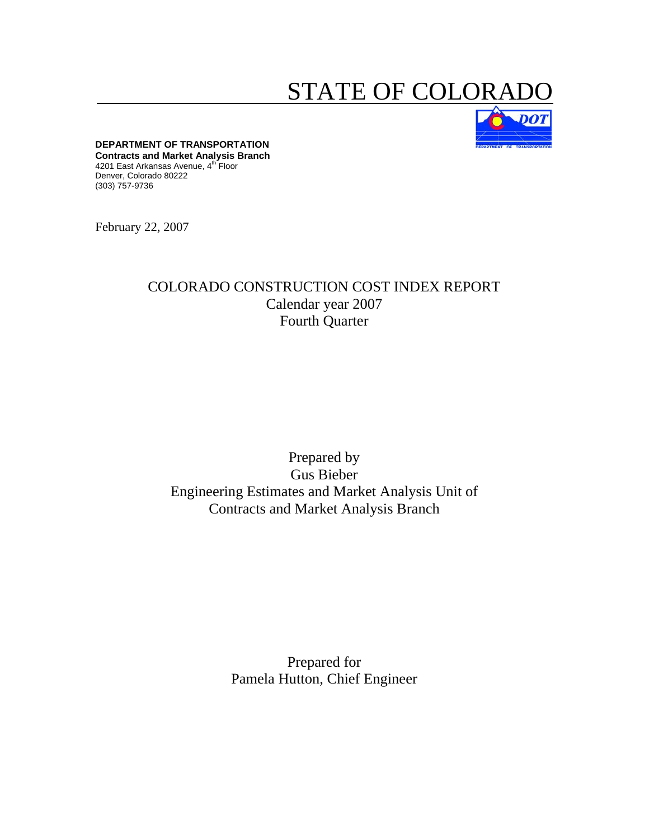# STATE OF COLORA



**DEPARTMENT OF TRANSPORTATION Contracts and Market Analysis Branch**  4201 East Arkansas Avenue, 4<sup>th</sup> Floor Denver, Colorado 80222 (303) 757-9736

February 22, 2007

### COLORADO CONSTRUCTION COST INDEX REPORT Calendar year 2007 Fourth Quarter

### Prepared by Gus Bieber Engineering Estimates and Market Analysis Unit of Contracts and Market Analysis Branch

Prepared for Pamela Hutton, Chief Engineer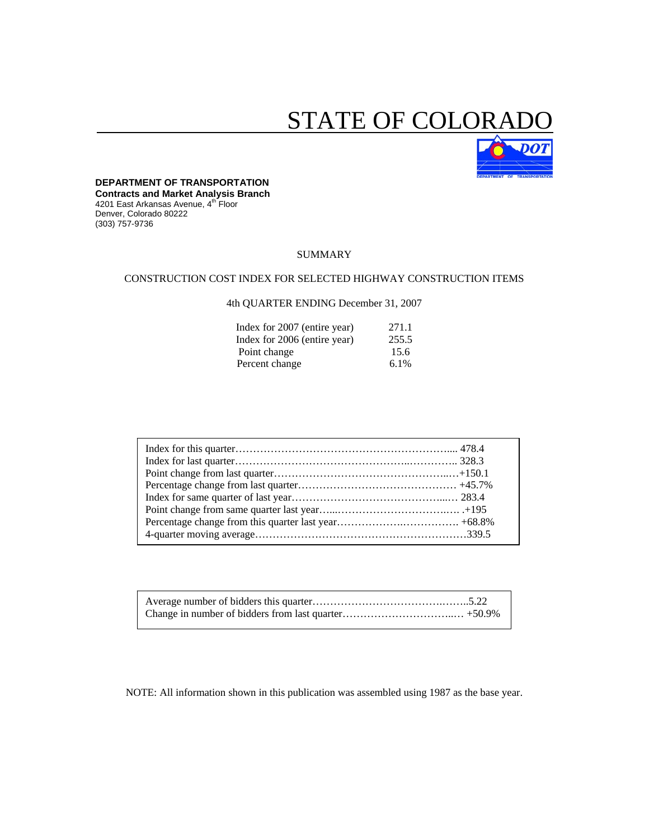# STATE OF COLORA



#### **DEPARTMENT OF TRANSPORTATION**

**Contracts and Market Analysis Branch**  4201 East Arkansas Avenue, 4th Floor Denver, Colorado 80222 (303) 757-9736

#### SUMMARY

#### CONSTRUCTION COST INDEX FOR SELECTED HIGHWAY CONSTRUCTION ITEMS

#### 4th QUARTER ENDING December 31, 2007

| Index for 2007 (entire year) | 271.1 |
|------------------------------|-------|
| Index for 2006 (entire year) | 255.5 |
| Point change                 | 15.6  |
| Percent change               | 6.1%  |

NOTE: All information shown in this publication was assembled using 1987 as the base year.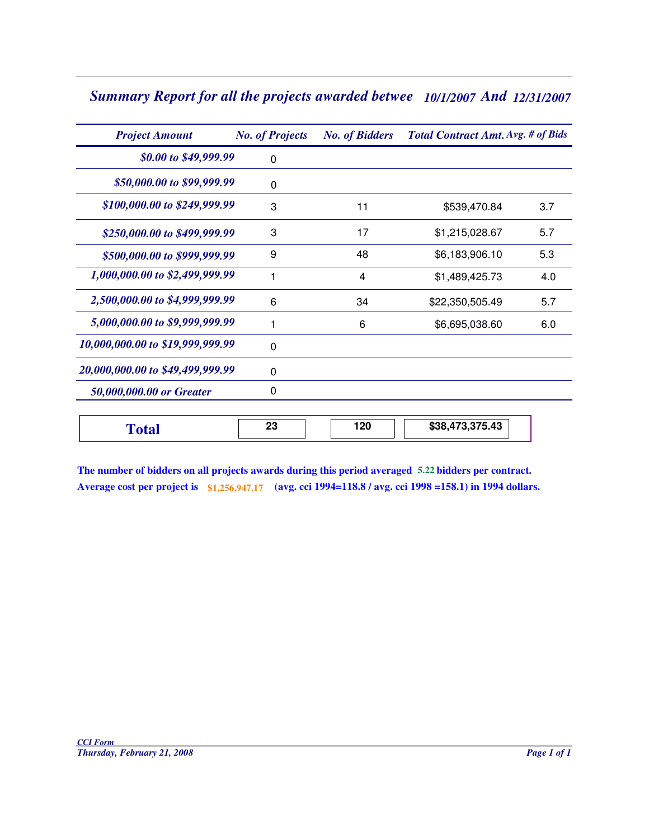## Summary Report for all the projects awarded betwee 10/1/2007 And 12/31/2007

| <b>Project Amount</b>            | <b>No. of Projects</b> | <b>No. of Bidders</b> | <b>Total Contract Amt. Avg. # of Bids</b> |     |  |  |
|----------------------------------|------------------------|-----------------------|-------------------------------------------|-----|--|--|
| \$0.00 to \$49,999.99            | 0                      |                       |                                           |     |  |  |
| \$50,000.00 to \$99,999.99       | $\Omega$               |                       |                                           |     |  |  |
| \$100,000.00 to \$249,999.99     | 3                      | 11                    | \$539,470.84                              | 3.7 |  |  |
| \$250,000.00 to \$499,999.99     | 3                      | 17                    | \$1,215,028.67                            | 5.7 |  |  |
| \$500,000.00 to \$999,999.99     | 9                      | 48                    | \$6,183,906.10                            | 5.3 |  |  |
| 1,000,000.00 to \$2,499,999.99   | 1                      | 4                     | \$1,489,425.73                            | 4.0 |  |  |
| 2,500,000.00 to \$4,999,999.99   | 6                      | 34                    | \$22,350,505.49                           | 5.7 |  |  |
| 5,000,000.00 to \$9,999,999.99   | 1                      | 6                     | \$6,695,038.60                            | 6.0 |  |  |
| 10,000,000.00 to \$19,999,999.99 | $\mathbf{0}$           |                       |                                           |     |  |  |
| 20,000,000.00 to \$49,499,999.99 | $\mathbf{0}$           |                       |                                           |     |  |  |
| 50,000,000.00 or Greater         | 0                      |                       |                                           |     |  |  |
| <b>Total</b>                     | 23                     | 120                   | \$38,473,375.43                           |     |  |  |

|  | The number of bidders on all projects awards during this period averaged 5.22 bidders per contract.      |
|--|----------------------------------------------------------------------------------------------------------|
|  | Average cost per project is \$1,256,947.17 (avg. cci 1994=118.8 / avg. cci 1998 =158.1) in 1994 dollars. |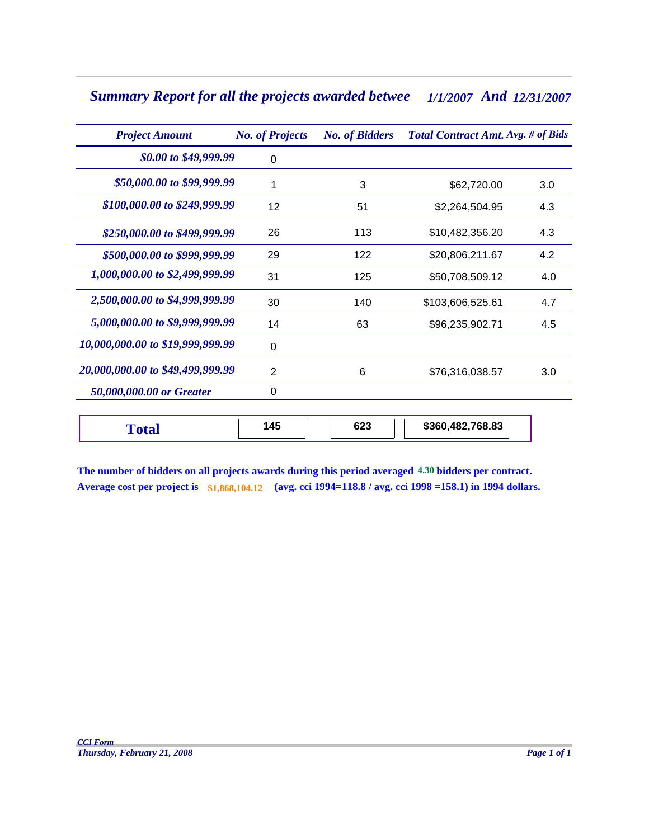## Summary Report for all the projects awarded betwee 1/1/2007 And 12/31/2007

| <b>Project Amount</b>            | <b>No. of Projects</b> | <b>No. of Bidders</b> | Total Contract Amt. Avg. # of Bids |     |  |  |  |
|----------------------------------|------------------------|-----------------------|------------------------------------|-----|--|--|--|
| \$0.00 to \$49,999.99            | 0                      |                       |                                    |     |  |  |  |
| \$50,000.00 to \$99,999.99       | 1                      | 3                     | \$62,720.00                        | 3.0 |  |  |  |
| \$100,000.00 to \$249,999.99     | 12                     | 51                    | \$2,264,504.95                     | 4.3 |  |  |  |
| \$250,000.00 to \$499,999.99     | 26                     | 113                   | \$10,482,356.20                    | 4.3 |  |  |  |
| \$500,000.00 to \$999,999.99     | 29                     | 122                   | \$20,806,211.67                    | 4.2 |  |  |  |
| 1,000,000.00 to \$2,499,999.99   | 31                     | 125                   | \$50,708,509.12                    | 4.0 |  |  |  |
| 2,500,000.00 to \$4,999,999.99   | 30                     | 140                   | \$103,606,525.61                   | 4.7 |  |  |  |
| 5,000,000.00 to \$9,999,999.99   | 14                     | 63                    | \$96,235,902.71                    | 4.5 |  |  |  |
| 10,000,000.00 to \$19,999,999.99 | 0                      |                       |                                    |     |  |  |  |
| 20,000,000.00 to \$49,499,999.99 | 2                      | 6                     | \$76,316,038.57                    | 3.0 |  |  |  |
| 50,000,000.00 or Greater         | 0                      |                       |                                    |     |  |  |  |
| <b>Total</b>                     | 145                    | 623                   | \$360,482,768.83                   |     |  |  |  |

**The number of bidders on all projects awards during this period averaged 4.30 bidders per contract. Average cost per project is \$1,868,104.12 (avg. cci 1994=118.8 / avg. cci 1998 =158.1) in 1994 dollars.**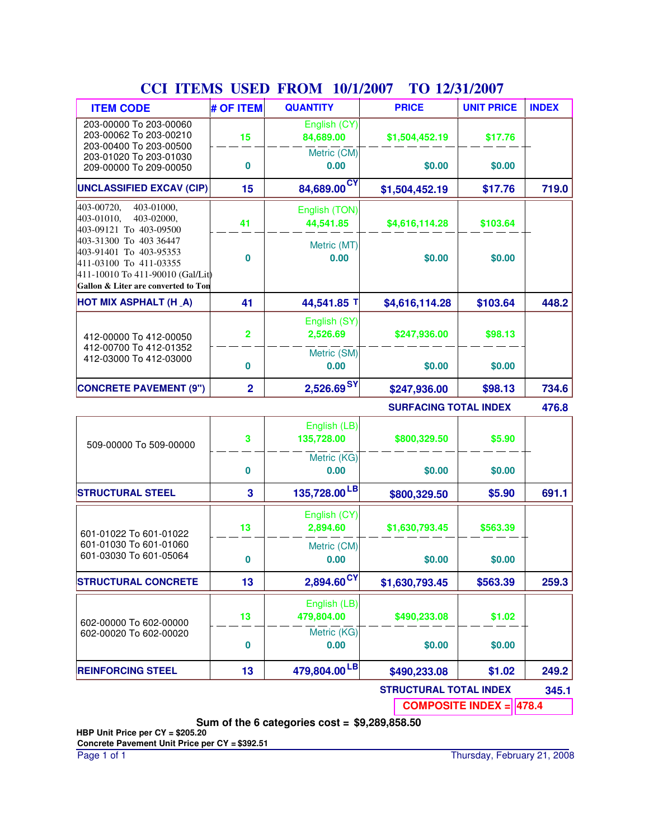| <b>COLLITENIO</b>                                                                                                                                     | <b>UDLID</b>            | <b>TITOINI</b><br>1 <i>01 11 200 1</i> | TO <i>IEIJIIE</i> UVI        |                   |              |
|-------------------------------------------------------------------------------------------------------------------------------------------------------|-------------------------|----------------------------------------|------------------------------|-------------------|--------------|
| <b>ITEM CODE</b>                                                                                                                                      | # OF ITEM               | <b>QUANTITY</b>                        | <b>PRICE</b>                 | <b>UNIT PRICE</b> | <b>INDEX</b> |
| 203-00000 To 203-00060<br>203-00062 To 203-00210<br>203-00400 To 203-00500                                                                            | 15                      | English (CY)<br>84,689.00              | \$1,504,452.19               | \$17.76           |              |
| 203-01020 To 203-01030<br>209-00000 To 209-00050                                                                                                      | 0                       | Metric (CM)<br>0.00                    | \$0.00                       | \$0.00            |              |
| <b>UNCLASSIFIED EXCAV (CIP)</b>                                                                                                                       | 15                      | 84,689.00CY                            | \$1,504,452.19               | \$17.76           | 719.0        |
| 403-00720,<br>403-01000,<br>403-02000,<br>403-01010,<br>403-09121 To 403-09500                                                                        | 41                      | English (TON)<br>44,541.85             | \$4,616,114.28               | \$103.64          |              |
| 403-31300 To 403 36447<br>403-91401 To 403-95353<br>411-03100 To 411-03355<br>411-10010 To 411-90010 (Gal/Lit)<br>Gallon & Liter are converted to Ton | 0                       | Metric (MT)<br>0.00                    | \$0.00                       | \$0.00            |              |
| HOT MIX ASPHALT (H_A)                                                                                                                                 | 41                      | 44,541.85 T                            | \$4,616,114.28               | \$103.64          | 448.2        |
| 412-00000 To 412-00050                                                                                                                                | $\overline{\mathbf{2}}$ | English (SY)<br>2,526.69               | \$247,936.00                 | \$98.13           |              |
| 412-00700 To 412-01352<br>412-03000 To 412-03000                                                                                                      | 0                       | Metric (SM)<br>0.00                    | \$0.00                       | \$0.00            |              |
| <b>CONCRETE PAVEMENT (9")</b>                                                                                                                         | $\overline{2}$          | 2,526.69SY                             | \$247,936.00                 | \$98.13           | 734.6        |
|                                                                                                                                                       |                         |                                        | <b>SURFACING TOTAL INDEX</b> |                   | 476.8        |
| 509-00000 To 509-00000                                                                                                                                | 3                       | English (LB)<br>135,728.00             | \$800,329.50                 | \$5.90            |              |
|                                                                                                                                                       | 0                       | Metric (KG)<br>0.00                    | \$0.00                       | \$0.00            |              |
| <b>STRUCTURAL STEEL</b>                                                                                                                               | 3                       | 135,728.00 <sup>LB</sup>               | \$800,329.50                 | \$5.90            | 691.1        |
| 601-01022 To 601-01022                                                                                                                                | 13                      | English (CY)<br>2,894.60               | \$1,630,793.45               | \$563.39          |              |
| 601-01030 To 601-01060<br>601-03030 To 601-05064                                                                                                      | 0                       | Metric (CM)<br>0.00                    | \$0.00                       | \$0.00            |              |
| <b>STRUCTURAL CONCRETE</b>                                                                                                                            | 13                      | $2,894.60^{\text{CY}}$                 | \$1,630,793.45               | \$563.39          | 259.3        |
| 602-00000 To 602-00000                                                                                                                                | 13                      | English (LB)<br>479,804.00             | \$490,233.08                 | \$1.02            |              |
| 602-00020 To 602-00020                                                                                                                                | 0                       | Metric (KG)<br>0.00                    | \$0.00                       | \$0.00            |              |
| <b>REINFORCING STEEL</b>                                                                                                                              | 13                      | 479,804.00LB                           | \$490,233.08                 | \$1.02            | 249.2        |
|                                                                                                                                                       |                         |                                        |                              |                   |              |

### **CCI ITEMS USED FROM 10/1/2007 TO 12/31/2007**

**STRUCTURAL TOTAL INDEX 345.1**

**COMPOSITE INDEX = 478.4**

**Sum of the 6 categories cost = \$9,289,858.50**

**HBP Unit Price per CY = \$205.20 Concrete Pavement Unit Price per CY = \$392.51**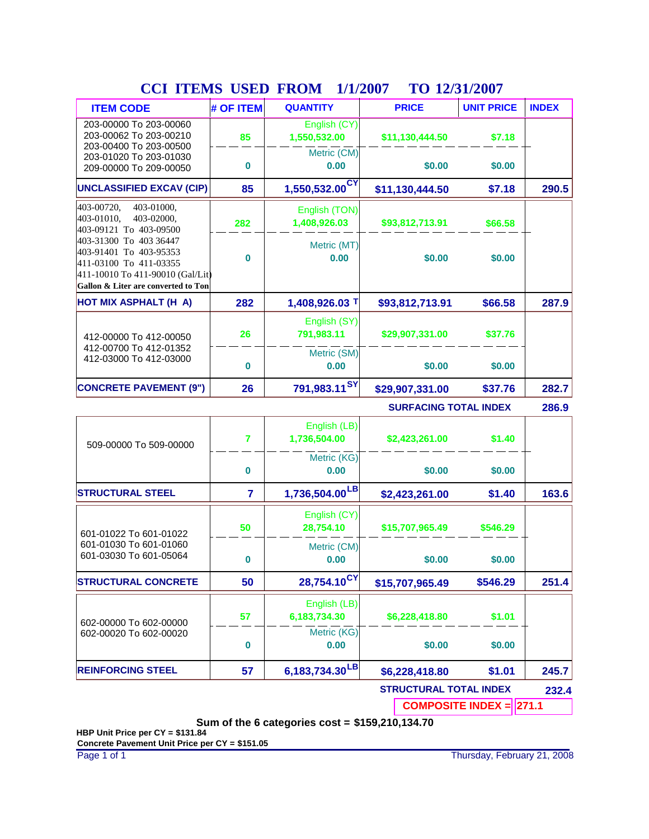| <b>COL TTERNO</b>                                                                                                                                     | <b>UDLID</b>   | <b>TITOINI</b><br>17 17 200 T | 1 V 14/J1/4007                |                   |              |  |
|-------------------------------------------------------------------------------------------------------------------------------------------------------|----------------|-------------------------------|-------------------------------|-------------------|--------------|--|
| <b>ITEM CODE</b>                                                                                                                                      | # OF ITEM      | <b>QUANTITY</b>               | <b>PRICE</b>                  | <b>UNIT PRICE</b> | <b>INDEX</b> |  |
| 203-00000 To 203-00060<br>203-00062 To 203-00210                                                                                                      | 85             | English (CY)<br>1,550,532.00  | \$11,130,444.50               | \$7.18            |              |  |
| 203-00400 To 203-00500<br>203-01020 To 203-01030<br>209-00000 To 209-00050                                                                            | 0              | Metric (CM)<br>0.00           | \$0.00                        | \$0.00            |              |  |
| <b>UNCLASSIFIED EXCAV (CIP)</b>                                                                                                                       | 85             | 1,550,532.00 <sup>CY</sup>    | \$11,130,444.50               | \$7.18            | 290.5        |  |
| 403-00720,<br>403-01000,<br>403-01010,<br>403-02000.<br>403-09121 To 403-09500                                                                        | 282            | English (TON)<br>1,408,926.03 | \$93,812,713.91               | \$66.58           |              |  |
| 403-31300 To 403 36447<br>403-91401 To 403-95353<br>411-03100 To 411-03355<br>411-10010 To 411-90010 (Gal/Lit)<br>Gallon & Liter are converted to Ton | 0              | Metric (MT)<br>0.00           | \$0.00                        | \$0.00            |              |  |
| HOT MIX ASPHALT (H A)                                                                                                                                 | 282            | 1,408,926.03 T                | \$93,812,713.91               | \$66.58           | 287.9        |  |
| 412-00000 To 412-00050                                                                                                                                | 26             | English (SY)<br>791,983.11    | \$29,907,331.00               | \$37.76           |              |  |
| 412-00700 To 412-01352<br>412-03000 To 412-03000                                                                                                      | 0              | Metric (SM)<br>0.00           | \$0.00                        | \$0.00            |              |  |
| <b>CONCRETE PAVEMENT (9")</b>                                                                                                                         | 26             | 791,983.11 <sup>SY</sup>      | \$29,907,331.00               | \$37.76           | 282.7        |  |
|                                                                                                                                                       |                |                               | <b>SURFACING TOTAL INDEX</b>  |                   |              |  |
| 509-00000 To 509-00000                                                                                                                                | 7              | English (LB)<br>1,736,504.00  | \$2,423,261.00                | \$1.40            |              |  |
|                                                                                                                                                       | 0              | Metric (KG)<br>0.00           | \$0.00                        | \$0.00            |              |  |
| <b>STRUCTURAL STEEL</b>                                                                                                                               | $\overline{7}$ | 1,736,504.00 <sup>LB</sup>    | \$2,423,261.00                | \$1.40            | 163.6        |  |
| 601-01022 To 601-01022                                                                                                                                | 50             | English (CY)<br>28,754.10     | \$15,707,965.49               | \$546.29          |              |  |
| 601-01030 To 601-01060<br>601-03030 To 601-05064                                                                                                      | 0              | Metric (CM)<br>0.00           | \$0.00                        | \$0.00            |              |  |
| <b>STRUCTURAL CONCRETE</b>                                                                                                                            | 50             | 28,754.10 <sup>CY</sup>       | \$15,707,965.49               | \$546.29          | 251.4        |  |
| 602-00000 To 602-00000                                                                                                                                | 57             | English (LB)<br>6,183,734.30  | \$6,228,418.80                | \$1.01            |              |  |
| 602-00020 To 602-00020                                                                                                                                | 0              | Metric (KG)<br>0.00           | \$0.00                        | \$0.00            |              |  |
| <b>REINFORCING STEEL</b>                                                                                                                              | 57             | 6,183,734.30 $\textsf{^{LB}}$ | \$6,228,418.80                | \$1.01            | 245.7        |  |
|                                                                                                                                                       |                |                               | <b>CTDUCTUDAL TOTAL INDEV</b> |                   |              |  |

### **CCI ITEMS USED FROM TO 1/1/2007 12/31/2007**

**STRUCTURAL TOTAL INDEX 232.4**

**COMPOSITE INDEX = 271.1** 

**Sum of the 6 categories cost = \$159,210,134.70**

**HBP Unit Price per CY = \$131.84 Concrete Pavement Unit Price per CY = \$151.05**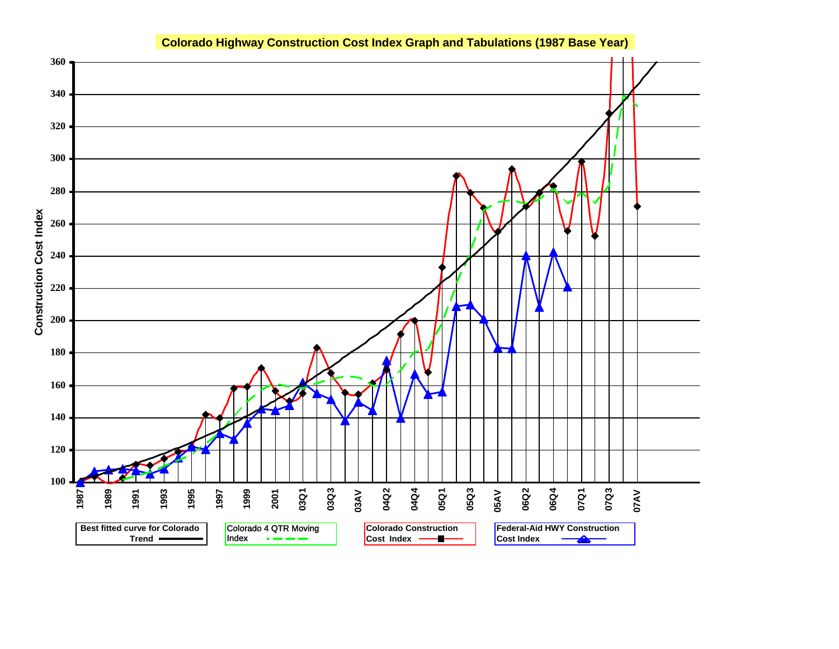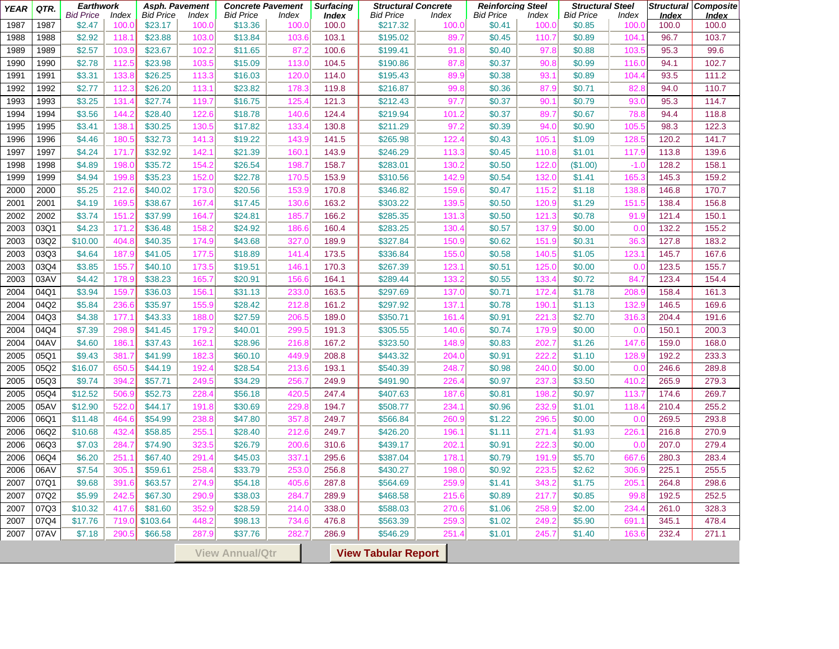| <b>YEAR</b>  | QTR.         | <b>Earthwork</b><br><b>Bid Price</b> |                       | Asph. Pavement<br><b>Bid Price</b> |                       | <b>Concrete Pavement</b><br><b>Bid Price</b> |                       | <b>Surfacing</b>      | <b>Structural Concrete</b><br><b>Bid Price</b> |                       | <b>Reinforcing Steel</b><br><b>Bid Price</b> | <b>Index</b>   | <b>Structural Steel</b><br><b>Bid Price</b> |                       |                       | Structural Composite  |
|--------------|--------------|--------------------------------------|-----------------------|------------------------------------|-----------------------|----------------------------------------------|-----------------------|-----------------------|------------------------------------------------|-----------------------|----------------------------------------------|----------------|---------------------------------------------|-----------------------|-----------------------|-----------------------|
| 1987         | 1987         | \$2.47                               | <b>Index</b><br>100.0 | \$23.17                            | <b>Index</b><br>100.0 | \$13.36                                      | <b>Index</b><br>100.0 | <b>Index</b><br>100.0 | \$217.32                                       | <b>Index</b><br>100.0 | \$0.41                                       | 100.0          | \$0.85                                      | <u>Index</u><br>100.0 | <b>Index</b><br>100.0 | <b>Index</b><br>100.0 |
| 1988         | 1988         | \$2.92                               | 118.                  | \$23.88                            | 103.0                 | \$13.84                                      | 103.6                 | 103.1                 | \$195.02                                       | 89.7                  | \$0.45                                       | 110.7          | \$0.89                                      | 104.                  | 96.7                  | 103.7                 |
| 1989         | 1989         | \$2.57                               | 103.9                 | \$23.67                            | 102.2                 | \$11.65                                      | 87.2                  | 100.6                 | \$199.41                                       | 91.8                  | \$0.40                                       | 97.8           | \$0.88                                      | 103.5                 | 95.3                  | 99.6                  |
| 1990         | 1990         | \$2.78                               | 112.5                 | \$23.98                            | 103.5                 | \$15.09                                      | 113.0                 | 104.5                 | \$190.86                                       | 87.8                  | \$0.37                                       | 90.8           | \$0.99                                      | 116.0                 | 94.1                  | 102.7                 |
| 1991         | 1991         | \$3.31                               | 133.8                 | \$26.25                            | 113.3                 | \$16.03                                      | 120.0                 | 114.0                 | \$195.43                                       | 89.9                  | \$0.38                                       | 93.1           | \$0.89                                      | 104.4                 | 93.5                  | 111.2                 |
| 1992         | 1992         | \$2.77                               | 112.3                 | \$26.20                            | 113.1                 | \$23.82                                      | 178.3                 | 119.8                 | \$216.87                                       | 99.8                  | \$0.36                                       | 87.9           | \$0.71                                      | 82.8                  | 94.0                  | 110.7                 |
| 1993         | 1993         | \$3.25                               | 131.4                 | \$27.74                            | 119.7                 | \$16.75                                      | 125.4                 | 121.3                 | \$212.43                                       | 97.7                  | \$0.37                                       | 90.7           | \$0.79                                      | 93.0                  | 95.3                  | 114.7                 |
| 1994         | 1994         | \$3.56                               | 144.2                 | \$28.40                            | 122.6                 | \$18.78                                      | 140.6                 | 124.4                 | \$219.94                                       | 101.2                 | \$0.37                                       | 89.7           | \$0.67                                      | 78.8                  | 94.4                  | 118.8                 |
| 1995         | 1995         | \$3.41                               | 138.                  | \$30.25                            | 130.5                 | \$17.82                                      | 133.4                 | 130.8                 | \$211.29                                       | 97.2                  | \$0.39                                       | 94.0           | \$0.90                                      | 105.5                 | 98.3                  | 122.3                 |
| 1996         | 1996         | \$4.46                               | 180.                  | \$32.73                            | 141.3                 | \$19.22                                      | 143.9                 | 141.5                 | \$265.98                                       | 122.4                 | \$0.43                                       | 105.1          | \$1.09                                      | 128.5                 | 120.2                 | 141.7                 |
| 1997         | 1997         | \$4.24                               | 171.7                 | \$32.92                            | 142.7                 | \$21.39                                      | 160.7                 | 143.9                 | \$246.29                                       | 113.3                 | \$0.45                                       | 110.8          | \$1.01                                      | 117.9                 | 113.8                 | 139.6                 |
| 1998         | 1998         | \$4.89                               | 198.0                 | \$35.72                            | 154.2                 | \$26.54                                      | 198.7                 | 158.7                 | \$283.01                                       | 130.2                 | \$0.50                                       | 122.0          | (\$1.00)                                    | $-1.0$                | 128.2                 | 158.1                 |
| 1999         | 1999         | \$4.94                               | 199.8                 | \$35.23                            | 152.0                 | \$22.78                                      | 170.5                 | 153.9                 | \$310.56                                       | 142.9                 | \$0.54                                       | 132.0          | \$1.41                                      | 165.3                 | 145.3                 | 159.2                 |
| 2000         | 2000         | \$5.25                               | 212.6                 | \$40.02                            | 173.0                 | \$20.56                                      | 153.9                 | 170.8                 | \$346.82                                       | 159.6                 | \$0.47                                       | 115.2          | \$1.18                                      | 138.8                 | 146.8                 | 170.7                 |
| 2001         | 2001         | \$4.19                               | 169.5                 | \$38.67                            | 167.4                 | \$17.45                                      | 130.6                 | 163.2                 | \$303.22                                       | 139.5                 | \$0.50                                       | 120.9          | \$1.29                                      | 151.5                 | 138.4                 | 156.8                 |
| 2002         | 2002         | \$3.74                               | 151.3                 | \$37.99                            | 164.7                 | \$24.81                                      | 185.7                 | 166.2                 | \$285.35                                       | 131.3                 | \$0.50                                       | 121.3          | \$0.78                                      | 91.9                  | 121.4                 | 150.1                 |
| 2003         | 03Q1         | \$4.23                               | 171.2                 | \$36.48                            | 158.2                 | \$24.92                                      | 186.6                 | 160.4                 | \$283.25                                       | 130.4                 | \$0.57                                       | 137.9          | \$0.00                                      | 0. <sub>C</sub>       | 132.2                 | 155.2                 |
| 2003         | 03Q2         | \$10.00                              | 404.8                 | \$40.35                            | 174.9                 | \$43.68                                      | 327.0                 | 189.9                 | \$327.84                                       | 150.9                 | \$0.62                                       | 151.9          | \$0.31                                      | 36.3                  | 127.8                 | 183.2                 |
| 2003         | 03Q3         | \$4.64                               | 187.                  | \$41.05                            | 177.5                 | \$18.89                                      | 141.4                 | 173.5                 | \$336.84                                       | 155.0                 | \$0.58                                       | 140.5          | \$1.05                                      | 123.7                 | 145.7                 | 167.6                 |
| 2003         | 03Q4         | \$3.85                               | 155.7                 | \$40.10                            | 173.5                 | \$19.51                                      | 146.                  | 170.3                 | \$267.39                                       | 123.1                 | \$0.51                                       | 125.0          | \$0.00                                      | 0. <sub>C</sub>       | 123.5                 | 155.7                 |
| 2003         | 03AV         | \$4.42                               | 178.9                 | \$38.23                            | 165.7                 | \$20.91                                      | 156.6                 | 164.1                 | \$289.44                                       | 133.2                 | \$0.55                                       | 133.4          | \$0.72                                      | 84.7                  | 123.4                 | 154.4                 |
| 2004         | 04Q1         | \$3.94                               | 159.                  | \$36.03                            | 156.                  | \$31.13                                      | 233.0                 | 163.5                 | \$297.69                                       | 137.0                 | \$0.71                                       | 172.4          | \$1.78                                      | 208.9                 | 158.4                 | 161.3                 |
| 2004         | 04Q2         | \$5.84                               | 236.6                 | \$35.97                            | 155.9                 | \$28.42                                      | 212.8                 | 161.2                 | \$297.92                                       | 137.1                 | \$0.78                                       | 190.7          | \$1.13                                      | 132.9                 | 146.5                 | 169.6                 |
| 2004         | 04Q3         | \$4.38                               | 177.7                 | \$43.33                            | 188.0                 | \$27.59                                      | 206.5                 | 189.0                 | \$350.71                                       | 161.4                 | \$0.91                                       | 221.3          | \$2.70                                      | 316.3                 | 204.4                 | 191.6                 |
| 2004         | 04Q4         | \$7.39                               | 298.9                 | \$41.45                            | 179.2                 | \$40.01                                      | 299.5                 | 191.3                 | \$305.55                                       | 140.6                 | \$0.74                                       | 179.9          | \$0.00                                      | 0. <sub>C</sub>       | 150.1                 | 200.3                 |
| 2004         | 04AV         | \$4.60                               | 186.                  | \$37.43                            | 162.7                 | \$28.96                                      | 216.8                 | 167.2                 | \$323.50                                       | 148.9                 | \$0.83                                       | 202.7          | \$1.26                                      | 147.6                 | 159.0                 | 168.0                 |
| 2005         | 05Q1         | \$9.43                               | 381.                  | \$41.99                            | 182.3                 | \$60.10                                      | 449.9                 | 208.8                 | \$443.32                                       | 204.0                 | \$0.91                                       | 222.2          | \$1.10                                      | 128.9                 | 192.2                 | 233.3                 |
| 2005         | 05Q2         | \$16.07                              | 650.                  | \$44.19                            | 192.4                 | \$28.54                                      | 213.6                 | 193.1                 | \$540.39                                       | 248.7                 | \$0.98                                       | 240.0          | \$0.00                                      | 0. <sub>C</sub>       | 246.6                 | 289.8                 |
| 2005         | 05Q3         | \$9.74                               | 394.2                 | \$57.71                            | 249.5                 | \$34.29                                      | 256.7                 | 249.9                 | \$491.90                                       | 226.4                 | \$0.97                                       | 237.3          | \$3.50                                      | 410.2                 | 265.9                 | 279.3                 |
| 2005         | 05Q4         | \$12.52                              | 506.9                 | \$52.73                            | 228.4                 | \$56.18                                      | 420.5                 | 247.4                 | \$407.63                                       | 187.6                 | \$0.81                                       | 198.2          | \$0.97                                      | 113.7                 | 174.6                 | 269.7                 |
| 2005         | 05AV         | \$12.90                              | 522.0                 | \$44.17                            | 191.8                 | \$30.69                                      | 229.8                 | 194.7                 | \$508.77                                       | 234.1                 | \$0.96                                       | 232.9          | \$1.01                                      | 118.4                 | 210.4                 | 255.2                 |
| 2006         | 06Q1         | \$11.48                              | 464.6                 | \$54.99                            | 238.8                 | \$47.80                                      | 357.8                 | 249.7                 | \$566.84                                       | 260.9                 | \$1.22                                       | 296.5          | \$0.00                                      | 0. <sub>C</sub>       | 269.5                 | 293.8                 |
| 2006         | 06Q2         | \$10.68                              | 432.4                 | \$58.85                            | 255.7                 | \$28.40                                      | 212.6                 | 249.7                 | \$426.20                                       | 196.1                 | \$1.11                                       | 271.4          | \$1.93                                      | 226.7                 | 216.8                 | 270.9                 |
| 2006         | 06Q3         | \$7.03                               | 284.7                 | \$74.90                            | 323.5                 | \$26.79                                      | 200.6                 | 310.6                 | \$439.17                                       | 202.1                 | \$0.91                                       | 222.3          | \$0.00                                      | 0. <sub>C</sub>       | 207.0                 | 279.4                 |
| 2006         | 06Q4         | \$6.20                               | 251.                  | \$67.40                            | 291.4                 | \$45.03                                      | 337.7                 | 295.6                 | \$387.04                                       | 178.1                 | \$0.79                                       | 191.9          | \$5.70                                      | 667.6                 | 280.3                 | 283.4                 |
| 2006         | 06AV         | \$7.54                               | 305.7                 | \$59.61                            | 258.4                 | \$33.79                                      | 253.0                 | 256.8                 | \$430.27                                       | <b>198.0</b>          | \$0.92                                       | 223.5          | \$2.62                                      | 306.9                 | 225.1                 | 255.5                 |
| 2007         | 07Q1         | \$9.68                               | 391.6                 | \$63.57                            | 274.9                 | \$54.18                                      | 405.6                 | 287.8                 | \$564.69                                       | 259.9                 | \$1.41                                       | 343.2          | \$1.75                                      | 205.1                 | 264.8                 | 298.6                 |
| 2007         | 07Q2         | \$5.99                               | 242.5                 | \$67.30                            | 290.9                 | \$38.03                                      | 284.7                 | 289.9                 | \$468.58                                       | 215.6                 | \$0.89                                       | 217.7          | \$0.85                                      | 99.8                  | 192.5                 | 252.5                 |
| 2007         | 07Q3<br>07Q4 | \$10.32                              | 417.6                 | \$81.60                            | 352.9                 | \$28.59                                      | 214.0                 | 338.0                 | \$588.03                                       | 270.6                 | \$1.06                                       | 258.9          | \$2.00                                      | 234.4                 | 261.0                 | 328.3                 |
| 2007<br>2007 | 07AV         | \$17.76<br>\$7.18                    | 719.0<br>290.5        | \$103.64<br>\$66.58                | 448.2<br>287.9        | \$98.13<br>\$37.76                           | 734.6<br>282.7        | 476.8<br>286.9        | \$563.39<br>\$546.29                           | 259.3<br>251.4        | \$1.02<br>\$1.01                             | 249.2<br>245.7 | \$5.90<br>\$1.40                            | 691.1<br>163.6        | 345.1<br>232.4        | 478.4<br>271.1        |
|              |              |                                      |                       |                                    |                       |                                              |                       |                       |                                                |                       |                                              |                |                                             |                       |                       |                       |
|              |              |                                      |                       |                                    |                       | <b>View Annual/Qtr</b>                       |                       |                       | <b>View Tabular Report</b>                     |                       |                                              |                |                                             |                       |                       |                       |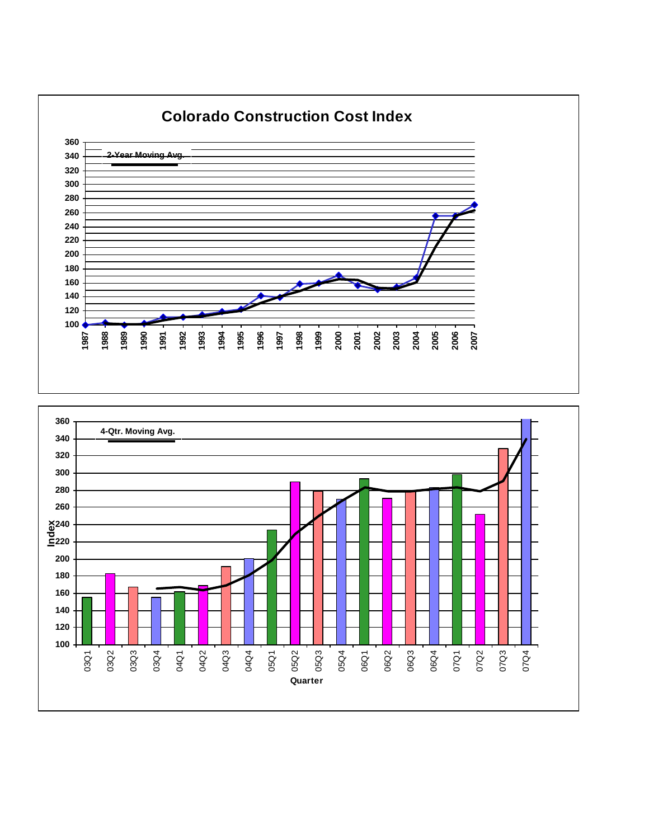

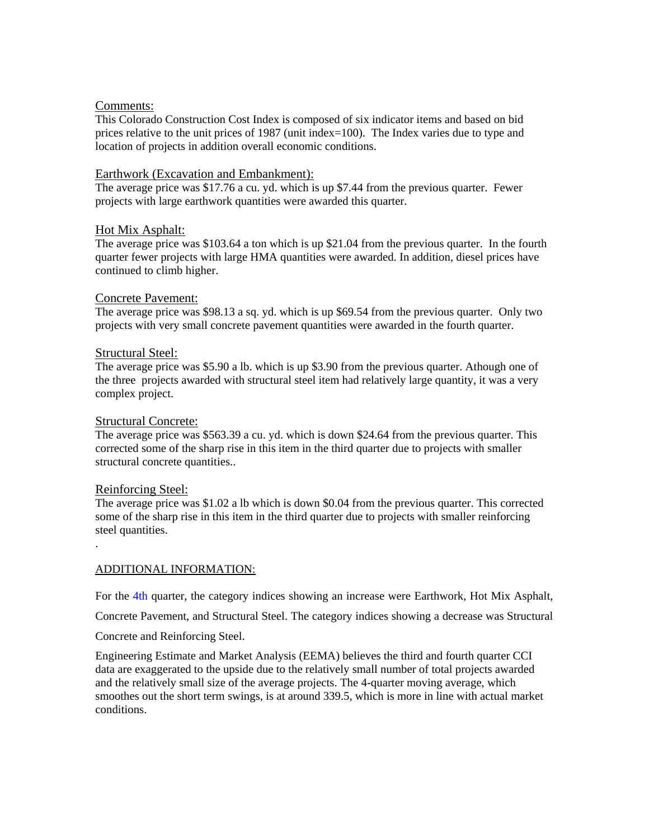### Comments:

This Colorado Construction Cost Index is composed of six indicator items and based on bid prices relative to the unit prices of 1987 (unit index=100). The Index varies due to type and location of projects in addition overall economic conditions.

### Earthwork (Excavation and Embankment):

The average price was \$17.76 a cu. yd. which is up \$7.44 from the previous quarter. Fewer projects with large earthwork quantities were awarded this quarter.

### Hot Mix Asphalt:

The average price was \$103.64 a ton which is up \$21.04 from the previous quarter. In the fourth quarter fewer projects with large HMA quantities were awarded. In addition, diesel prices have continued to climb higher.

### Concrete Pavement:

The average price was \$98.13 a sq. yd. which is up \$69.54 from the previous quarter. Only two projects with very small concrete pavement quantities were awarded in the fourth quarter.

### Structural Steel:

The average price was \$5.90 a lb. which is up \$3.90 from the previous quarter. Athough one of the three projects awarded with structural steel item had relatively large quantity, it was a very complex project.

### Structural Concrete:

The average price was \$563.39 a cu. yd. which is down \$24.64 from the previous quarter. This corrected some of the sharp rise in this item in the third quarter due to projects with smaller structural concrete quantities..

### Reinforcing Steel:

.

The average price was \$1.02 a lb which is down \$0.04 from the previous quarter. This corrected some of the sharp rise in this item in the third quarter due to projects with smaller reinforcing steel quantities.

### ADDITIONAL INFORMATION:

For the 4th quarter, the category indices showing an increase were Earthwork, Hot Mix Asphalt,

Concrete Pavement, and Structural Steel. The category indices showing a decrease was Structural

Concrete and Reinforcing Steel.

Engineering Estimate and Market Analysis (EEMA) believes the third and fourth quarter CCI data are exaggerated to the upside due to the relatively small number of total projects awarded and the relatively small size of the average projects. The 4-quarter moving average, which smoothes out the short term swings, is at around 339.5, which is more in line with actual market conditions.